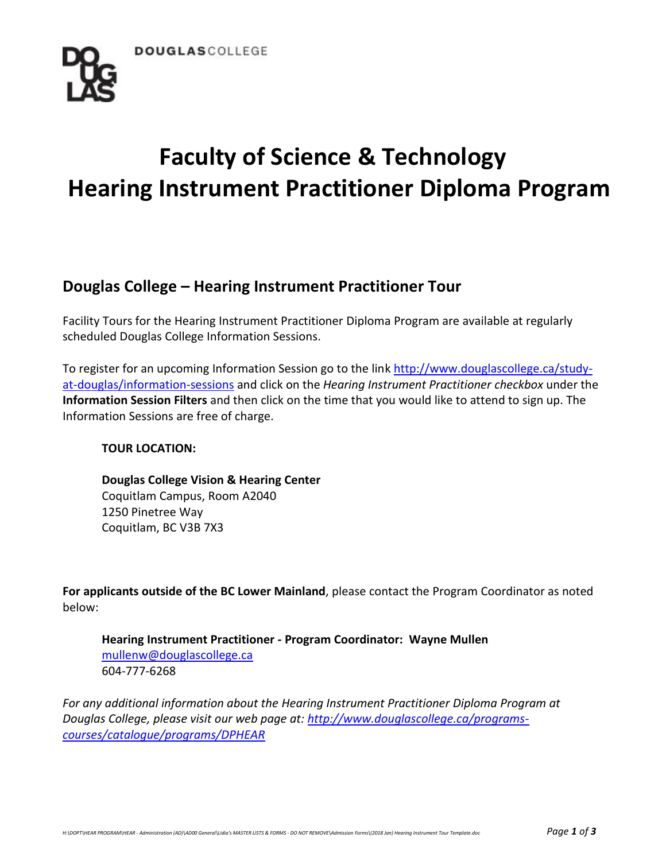

# **Faculty of Science & Technology Hearing Instrument Practitioner Diploma Program**

## **Douglas College – Hearing Instrument Practitioner Tour**

Facility Tours for the Hearing Instrument Practitioner Diploma Program are available at regularly scheduled Douglas College Information Sessions.

To register for an upcoming Information Session go to the link [http://www.douglascollege.ca/study](http://www.douglascollege.ca/study-at-douglas/information-sessions)[at-douglas/information-sessions](http://www.douglascollege.ca/study-at-douglas/information-sessions) and click on the *Hearing Instrument Practitioner checkbox* under the **Information Session Filters** and then click on the time that you would like to attend to sign up. The Information Sessions are free of charge.

## **TOUR LOCATION:**

**Douglas College Vision & Hearing Center** Coquitlam Campus, Room A2040 1250 Pinetree Way Coquitlam, BC V3B 7X3

**For applicants outside of the BC Lower Mainland**, please contact the Program Coordinator as noted below:

**Hearing Instrument Practitioner - Program Coordinator: Wayne Mullen** [mullenw@douglascollege.ca](mailto:mullenw@douglascollege.ca) 604-777-6268

*For any additional information about the Hearing Instrument Practitioner Diploma Program at Douglas College, please visit our web page at: [http://www.douglascollege.ca/programs](http://www.douglascollege.ca/programs-courses/catalogue/programs/DPHEAR)[courses/catalogue/programs/DPHEAR](http://www.douglascollege.ca/programs-courses/catalogue/programs/DPHEAR)*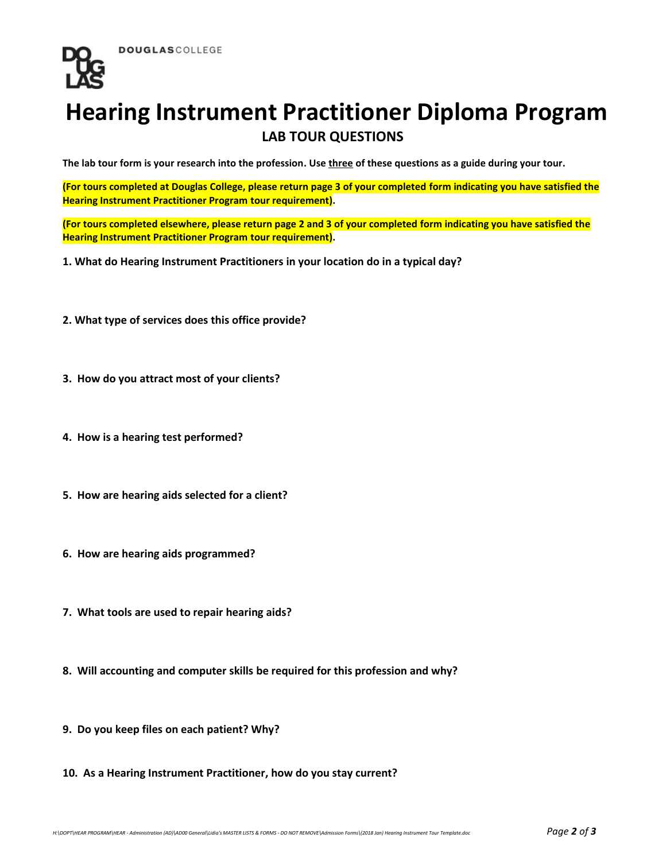

## **Hearing Instrument Practitioner Diploma Program LAB TOUR QUESTIONS**

**The lab tour form is your research into the profession. Use three of these questions as a guide during your tour.**

**(For tours completed at Douglas College, please return page 3 of your completed form indicating you have satisfied the Hearing Instrument Practitioner Program tour requirement).**

**(For tours completed elsewhere, please return page 2 and 3 of your completed form indicating you have satisfied the Hearing Instrument Practitioner Program tour requirement).**

**1. What do Hearing Instrument Practitioners in your location do in a typical day?**

- **2. What type of services does this office provide?**
- **3. How do you attract most of your clients?**
- **4. How is a hearing test performed?**
- **5. How are hearing aids selected for a client?**
- **6. How are hearing aids programmed?**
- **7. What tools are used to repair hearing aids?**
- **8. Will accounting and computer skills be required for this profession and why?**
- **9. Do you keep files on each patient? Why?**
- **10. As a Hearing Instrument Practitioner, how do you stay current?**